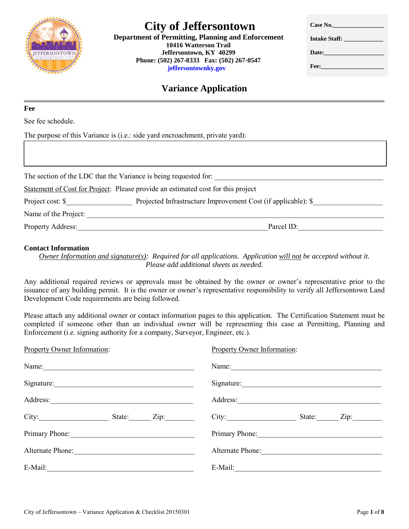

 **10416 Watterson Trail Jeffersontown, KY 40299 Phone: (502) 267-8333 Fax: (502) 267-0547 jeffersontownky.gov**

| Case No.                                                                                                                                                                                                                             |
|--------------------------------------------------------------------------------------------------------------------------------------------------------------------------------------------------------------------------------------|
|                                                                                                                                                                                                                                      |
| Date:                                                                                                                                                                                                                                |
| Fee: <b>Francisco State State State State State State State State State State State State State State State State State State State State State State State State State State State State State State State State State State St</b> |

# **Variance Application**

**Fee**

See fee schedule.

The purpose of this Variance is (i.e.: side yard encroachment, private yard):

| The section of the LDC that the Variance is being requested for: |                                                                                  |
|------------------------------------------------------------------|----------------------------------------------------------------------------------|
|                                                                  | Statement of Cost for Project: Please provide an estimated cost for this project |
| Project cost: \$                                                 | Projected Infrastructure Improvement Cost (if applicable): \$                    |
| Name of the Project:                                             |                                                                                  |
| <b>Property Address:</b>                                         | Parcel ID:                                                                       |

#### **Contact Information**

*Owner Information and signature(s): Required for all applications. Application will not be accepted without it. Please add additional sheets as needed.* 

Any additional required reviews or approvals must be obtained by the owner or owner's representative prior to the issuance of any building permit. It is the owner or owner's representative responsibility to verify all Jeffersontown Land Development Code requirements are being followed.

Please attach any additional owner or contact information pages to this application. The Certification Statement must be completed if someone other than an individual owner will be representing this case at Permitting, Planning and Enforcement (i.e. signing authority for a company, Surveyor, Engineer, etc.).

| <b>Property Owner Information:</b> | <b>Property Owner Information:</b> |  |
|------------------------------------|------------------------------------|--|
| Name:                              | Name:                              |  |
| Signature:                         | Signature:                         |  |
| Address:                           | Address:                           |  |
| City:<br>State: Zip:               | City:<br>Zip:<br>State:            |  |
|                                    | Primary Phone:                     |  |
| Alternate Phone:                   | Alternate Phone:                   |  |
|                                    | E-Mail: $\qquad \qquad \qquad$     |  |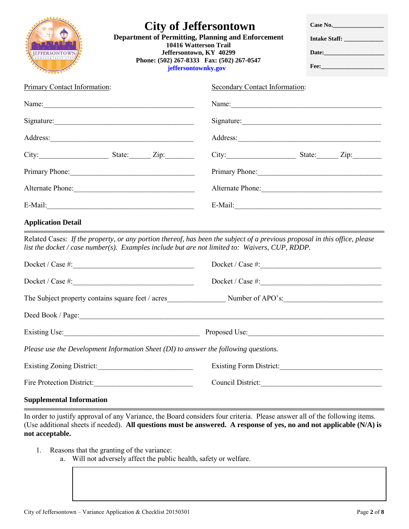| <b>City of Jeffersontown</b><br><b>Department of Permitting, Planning and Enforcement</b><br>10416 Watterson Trail<br><b>IEFFERSONTOWN</b><br>Jeffersontown, KY 40299<br>KENTUCKY . EST 179<br>Phone: (502) 267-8333 Fax: (502) 267-0547<br>jeffersontownky.gov       |                                | Case No.<br>Intake Staff:<br>Date: |  |
|-----------------------------------------------------------------------------------------------------------------------------------------------------------------------------------------------------------------------------------------------------------------------|--------------------------------|------------------------------------|--|
| Primary Contact Information:                                                                                                                                                                                                                                          | Secondary Contact Information: |                                    |  |
|                                                                                                                                                                                                                                                                       |                                |                                    |  |
| Signature:                                                                                                                                                                                                                                                            | Signature:                     |                                    |  |
|                                                                                                                                                                                                                                                                       | Address:                       |                                    |  |
|                                                                                                                                                                                                                                                                       | $City:$ State: Zip:            |                                    |  |
| Primary Phone: 2008. [19] Primary Phone:                                                                                                                                                                                                                              |                                |                                    |  |
|                                                                                                                                                                                                                                                                       | Alternate Phone:               |                                    |  |
|                                                                                                                                                                                                                                                                       | $E-Mail:$                      |                                    |  |
| <b>Application Detail</b>                                                                                                                                                                                                                                             |                                |                                    |  |
| Related Cases: If the property, or any portion thereof, has been the subject of a previous proposal in this office, please<br>list the docket / case number(s). Examples include but are not limited to: Waivers, CUP, RDDP.                                          |                                |                                    |  |
| Docket / Case #:                                                                                                                                                                                                                                                      |                                |                                    |  |
| $Docket / Case #: 200$                                                                                                                                                                                                                                                |                                |                                    |  |
|                                                                                                                                                                                                                                                                       |                                |                                    |  |
|                                                                                                                                                                                                                                                                       |                                |                                    |  |
|                                                                                                                                                                                                                                                                       |                                |                                    |  |
| Please use the Development Information Sheet $(DI)$ to answer the following questions.                                                                                                                                                                                |                                |                                    |  |
|                                                                                                                                                                                                                                                                       |                                |                                    |  |
| Fire Protection District:                                                                                                                                                                                                                                             | Council District:              |                                    |  |
| <b>Supplemental Information</b>                                                                                                                                                                                                                                       |                                |                                    |  |
| In order to justify approval of any Variance, the Board considers four criteria. Please answer all of the following items.<br>(Use additional sheets if needed). All questions must be answered. A response of yes, no and not applicable (N/A) is<br>not acceptable. |                                |                                    |  |

- 1. Reasons that the granting of the variance:
	- a. Will not adversely affect the public health, safety or welfare.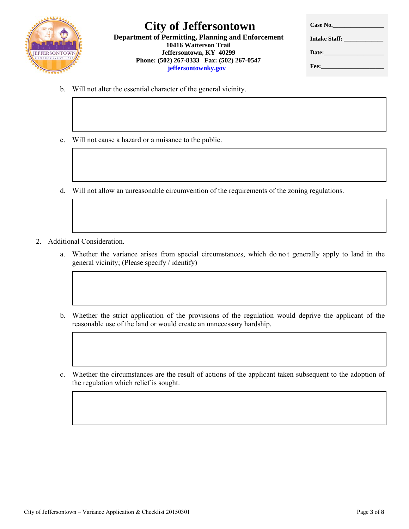

 **10416 Watterson Trail Jeffersontown, KY 40299 Phone: (502) 267-8333 Fax: (502) 267-0547 jeffersontownky.gov**

| Case No.                                                                                                       |
|----------------------------------------------------------------------------------------------------------------|
| Intake Staff:                                                                                                  |
| Date:                                                                                                          |
| Fee: a contract the state of the state of the state of the state of the state of the state of the state of the |

- b. Will not alter the essential character of the general vicinity.
- c. Will not cause a hazard or a nuisance to the public.
- d. Will not allow an unreasonable circumvention of the requirements of the zoning regulations.
- 2. Additional Consideration.
	- a. Whether the variance arises from special circumstances, which do no t generally apply to land in the general vicinity; (Please specify / identify)
	- b. Whether the strict application of the provisions of the regulation would deprive the applicant of the reasonable use of the land or would create an unnecessary hardship.
	- c. Whether the circumstances are the result of actions of the applicant taken subsequent to the adoption of the regulation which relief is sought.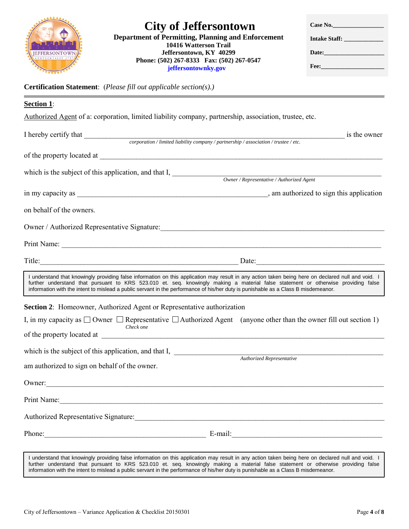

 **10416 Watterson Trail Jeffersontown, KY 40299 Phone: (502) 267-8333 Fax: (502) 267-0547 jeffersontownky.gov**

| Case No.                                                                                                                                                                                                                       |
|--------------------------------------------------------------------------------------------------------------------------------------------------------------------------------------------------------------------------------|
| Intake Staff:                                                                                                                                                                                                                  |
| Date: the contract of the contract of the contract of the contract of the contract of the contract of the contract of the contract of the contract of the contract of the contract of the contract of the contract of the cont |
| Fee: <b>Francisco Strategie</b>                                                                                                                                                                                                |

**Certification Statement**: (*Please fill out applicable section(s).)* 

| <b>Section 1:</b>                                                                                                                                                                                                                                                                                                                                                                                                             |                                                                                                                                                                                                                                                                                                     |  |
|-------------------------------------------------------------------------------------------------------------------------------------------------------------------------------------------------------------------------------------------------------------------------------------------------------------------------------------------------------------------------------------------------------------------------------|-----------------------------------------------------------------------------------------------------------------------------------------------------------------------------------------------------------------------------------------------------------------------------------------------------|--|
| Authorized Agent of a: corporation, limited liability company, partnership, association, trustee, etc.                                                                                                                                                                                                                                                                                                                        |                                                                                                                                                                                                                                                                                                     |  |
| I hereby certify that $\_\_\_\_\_cor$ corporation / limited liability company / partnership / association / trustee / etc.                                                                                                                                                                                                                                                                                                    | is the owner                                                                                                                                                                                                                                                                                        |  |
|                                                                                                                                                                                                                                                                                                                                                                                                                               |                                                                                                                                                                                                                                                                                                     |  |
|                                                                                                                                                                                                                                                                                                                                                                                                                               |                                                                                                                                                                                                                                                                                                     |  |
| which is the subject of this application, and that I,                                                                                                                                                                                                                                                                                                                                                                         | Owner / Representative / Authorized Agent                                                                                                                                                                                                                                                           |  |
|                                                                                                                                                                                                                                                                                                                                                                                                                               |                                                                                                                                                                                                                                                                                                     |  |
|                                                                                                                                                                                                                                                                                                                                                                                                                               |                                                                                                                                                                                                                                                                                                     |  |
| on behalf of the owners.                                                                                                                                                                                                                                                                                                                                                                                                      |                                                                                                                                                                                                                                                                                                     |  |
| Owner / Authorized Representative Signature:                                                                                                                                                                                                                                                                                                                                                                                  |                                                                                                                                                                                                                                                                                                     |  |
|                                                                                                                                                                                                                                                                                                                                                                                                                               |                                                                                                                                                                                                                                                                                                     |  |
| Title: Date: Date: Date:                                                                                                                                                                                                                                                                                                                                                                                                      |                                                                                                                                                                                                                                                                                                     |  |
| I understand that knowingly providing false information on this application may result in any action taken being here on declared null and void. I<br>further understand that pursuant to KRS 523.010 et. seq. knowingly making a material false statement or otherwise providing false<br>information with the intent to mislead a public servant in the performance of his/her duty is punishable as a Class B misdemeanor. |                                                                                                                                                                                                                                                                                                     |  |
| Section 2: Homeowner, Authorized Agent or Representative authorization                                                                                                                                                                                                                                                                                                                                                        |                                                                                                                                                                                                                                                                                                     |  |
| I, in my capacity as $\square$ Owner $\square$ Representative $\square$ Authorized Agent (anyone other than the owner fill out section 1)<br>Check one                                                                                                                                                                                                                                                                        |                                                                                                                                                                                                                                                                                                     |  |
|                                                                                                                                                                                                                                                                                                                                                                                                                               |                                                                                                                                                                                                                                                                                                     |  |
| which is the subject of this application, and that I, <u>and the Barristical Representative</u>                                                                                                                                                                                                                                                                                                                               |                                                                                                                                                                                                                                                                                                     |  |
|                                                                                                                                                                                                                                                                                                                                                                                                                               |                                                                                                                                                                                                                                                                                                     |  |
| am authorized to sign on behalf of the owner.                                                                                                                                                                                                                                                                                                                                                                                 |                                                                                                                                                                                                                                                                                                     |  |
| Owner:                                                                                                                                                                                                                                                                                                                                                                                                                        |                                                                                                                                                                                                                                                                                                     |  |
| Print Name:                                                                                                                                                                                                                                                                                                                                                                                                                   |                                                                                                                                                                                                                                                                                                     |  |
| Authorized Representative Signature:                                                                                                                                                                                                                                                                                                                                                                                          | <u> 1980 - Jan Stein Stein Stein Stein Stein Stein Stein Stein Stein Stein Stein Stein Stein Stein Stein Stein S</u>                                                                                                                                                                                |  |
| Phone:                                                                                                                                                                                                                                                                                                                                                                                                                        | $E$ -mail: $E$ -mail: $\frac{1}{2}$ = $\frac{1}{2}$ = $\frac{1}{2}$ = $\frac{1}{2}$ = $\frac{1}{2}$ = $\frac{1}{2}$ = $\frac{1}{2}$ = $\frac{1}{2}$ = $\frac{1}{2}$ = $\frac{1}{2}$ = $\frac{1}{2}$ = $\frac{1}{2}$ = $\frac{1}{2}$ = $\frac{1}{2}$ = $\frac{1}{2}$ = $\frac{1}{2}$ = $\frac{1}{2}$ |  |
| I understand that knowingly providing false information on this application may result in any action taken being here on declared null and void. I                                                                                                                                                                                                                                                                            |                                                                                                                                                                                                                                                                                                     |  |

further understand that pursuant to KRS 523.010 et. seq. knowingly making a material false statement or otherwise providing false information with the intent to mislead a public servant in the performance of his/her duty is punishable as a Class B misdemeanor.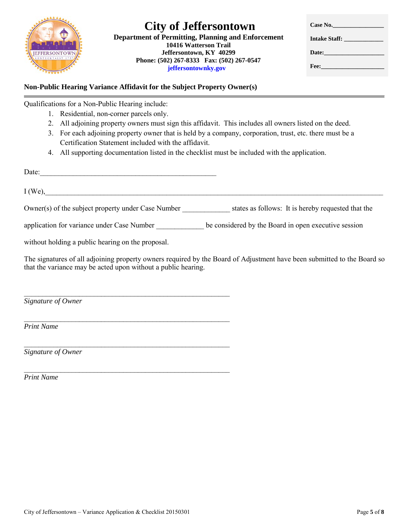

 **10416 Watterson Trail Jeffersontown, KY 40299 Phone: (502) 267-8333 Fax: (502) 267-0547 jeffersontownky.gov**

| Case No.                                                                                                                                                                                                                             |
|--------------------------------------------------------------------------------------------------------------------------------------------------------------------------------------------------------------------------------------|
| Intake Staff:                                                                                                                                                                                                                        |
| Date: <u>______________</u>                                                                                                                                                                                                          |
| Fee: <b>Francisco State State State State State State State State State State State State State State State State State State State State State State State State State State State State State State State State State State St</b> |

# **Non-Public Hearing Variance Affidavit for the Subject Property Owner(s)**

 $I (We),$ 

\_\_\_\_\_\_\_\_\_\_\_\_\_\_\_\_\_\_\_\_\_\_\_\_\_\_\_\_\_\_\_\_\_\_\_\_\_\_\_\_\_\_\_\_\_\_\_\_\_\_\_\_\_\_\_\_

\_\_\_\_\_\_\_\_\_\_\_\_\_\_\_\_\_\_\_\_\_\_\_\_\_\_\_\_\_\_\_\_\_\_\_\_\_\_\_\_\_\_\_\_\_\_\_\_\_\_\_\_\_\_\_\_

\_\_\_\_\_\_\_\_\_\_\_\_\_\_\_\_\_\_\_\_\_\_\_\_\_\_\_\_\_\_\_\_\_\_\_\_\_\_\_\_\_\_\_\_\_\_\_\_\_\_\_\_\_\_\_\_

\_\_\_\_\_\_\_\_\_\_\_\_\_\_\_\_\_\_\_\_\_\_\_\_\_\_\_\_\_\_\_\_\_\_\_\_\_\_\_\_\_\_\_\_\_\_\_\_\_\_\_\_\_\_\_\_

Qualifications for a Non-Public Hearing include:

- 1. Residential, non-corner parcels only.
- 2. All adjoining property owners must sign this affidavit. This includes all owners listed on the deed.
- 3. For each adjoining property owner that is held by a company, corporation, trust, etc. there must be a Certification Statement included with the affidavit.
- 4. All supporting documentation listed in the checklist must be included with the application.

Date:

Owner(s) of the subject property under Case Number states as follows: It is hereby requested that the

application for variance under Case Number be considered by the Board in open executive session

without holding a public hearing on the proposal.

The signatures of all adjoining property owners required by the Board of Adjustment have been submitted to the Board so that the variance may be acted upon without a public hearing.

*Signature of Owner* 

*Print Name*

*Signature of Owner* 

*Print Name*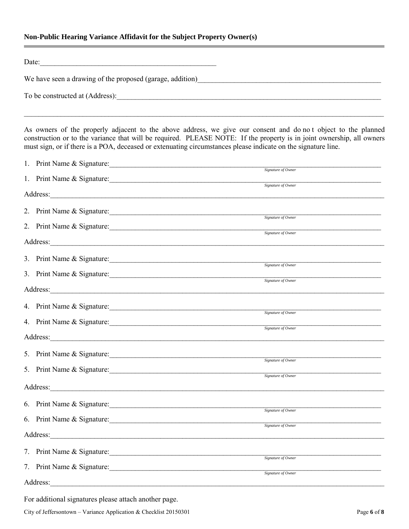# **Non-Public Hearing Variance Affidavit for the Subject Property Owner(s)**

| Date:                                                                                                                                                                                                                                                                                                                                                   |                    |  |
|---------------------------------------------------------------------------------------------------------------------------------------------------------------------------------------------------------------------------------------------------------------------------------------------------------------------------------------------------------|--------------------|--|
| We have seen a drawing of the proposed (garage, addition)<br>Me have seen a drawing of the proposed (garage, addition)                                                                                                                                                                                                                                  |                    |  |
|                                                                                                                                                                                                                                                                                                                                                         |                    |  |
| As owners of the properly adjacent to the above address, we give our consent and do not object to the planned<br>construction or to the variance that will be required. PLEASE NOTE: If the property is in joint ownership, all owners<br>must sign, or if there is a POA, deceased or extenuating circumstances please indicate on the signature line. |                    |  |
| 1. Print Name & Signature:                                                                                                                                                                                                                                                                                                                              | Signature of Owner |  |
| 1. Print Name & Signature: Signature Signature of Owner                                                                                                                                                                                                                                                                                                 |                    |  |
|                                                                                                                                                                                                                                                                                                                                                         |                    |  |
| 2. Print Name & Signature: Signature 30 November 2014                                                                                                                                                                                                                                                                                                   |                    |  |
| 2. Print Name & Signature:                                                                                                                                                                                                                                                                                                                              |                    |  |
|                                                                                                                                                                                                                                                                                                                                                         | Signature of Owner |  |
| 3. Print Name & Signature:                                                                                                                                                                                                                                                                                                                              |                    |  |
| 3. Print Name & Signature:                                                                                                                                                                                                                                                                                                                              | Signature of Owner |  |
|                                                                                                                                                                                                                                                                                                                                                         | Signature of Owner |  |
| 4. Print Name & Signature:                                                                                                                                                                                                                                                                                                                              |                    |  |
| 4. Print Name & Signature:                                                                                                                                                                                                                                                                                                                              | Signature of Owner |  |
|                                                                                                                                                                                                                                                                                                                                                         | Signature of Owner |  |
|                                                                                                                                                                                                                                                                                                                                                         |                    |  |
| 5. Print Name & Signature:                                                                                                                                                                                                                                                                                                                              | Signature of Owner |  |
| 5. Print Name & Signature:                                                                                                                                                                                                                                                                                                                              | Signature of Owner |  |
|                                                                                                                                                                                                                                                                                                                                                         |                    |  |
| 6. Print Name & Signature:                                                                                                                                                                                                                                                                                                                              | Signature of Owner |  |
| 6. Print Name & Signature:                                                                                                                                                                                                                                                                                                                              | Signature of Owner |  |
| Address:                                                                                                                                                                                                                                                                                                                                                |                    |  |
| 7. Print Name & Signature:                                                                                                                                                                                                                                                                                                                              | Signature of Owner |  |
| 7. Print Name & Signature:                                                                                                                                                                                                                                                                                                                              | Signature of Owner |  |
| Address:                                                                                                                                                                                                                                                                                                                                                |                    |  |

For additional signatures please attach another page.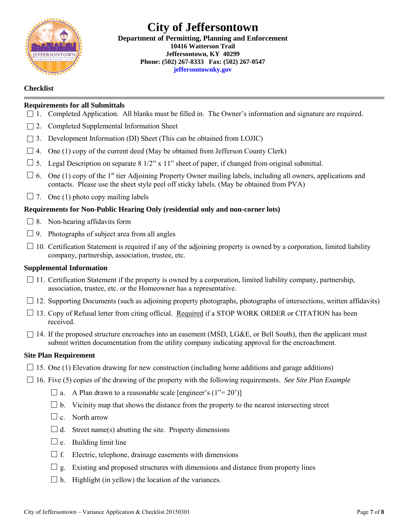

## **City of Jeffersontown Department of Permitting, Planning and Enforcement 10416 Watterson Trail Jeffersontown, KY 40299 Phone: (502) 267-8333 Fax: (502) 267-0547 jeffersontownky.gov**

## **Checklist**

## **Requirements for all Submittals**

- 1. Completed Application. All blanks must be filled in. The Owner's information and signature are required.
- $\Box$  2. Completed Supplemental Information Sheet
- 3. Development Information (DI) Sheet (This can be obtained from LOJIC)
- $\Box$  4. One (1) copy of the current deed (May be obtained from Jefferson County Clerk)
- $\Box$  5. Legal Description on separate 8 1/2" x 11" sheet of paper, if changed from original submittal.
- $\Box$  6. One (1) copy of the 1<sup>st</sup> tier Adjoining Property Owner mailing labels, including all owners, applications and contacts. Please use the sheet style peel off sticky labels. (May be obtained from PVA)
- $\Box$  7. One (1) photo copy mailing labels

## **Requirements for Non-Public Hearing Only (residential only and non-corner lots)**

- $\Box$  8. Non-hearing affidavits form
- $\Box$  9. Photographs of subject area from all angles
- $\Box$  10. Certification Statement is required if any of the adjoining property is owned by a corporation, limited liability company, partnership, association, trustee, etc.

#### **Supplemental Information**

- $\Box$  11. Certification Statement if the property is owned by a corporation, limited liability company, partnership, association, trustee, etc. or the Homeowner has a representative.
- $\Box$  12. Supporting Documents (such as adjoining property photographs, photographs of intersections, written affidavits)
- $\Box$  13. Copy of Refusal letter from citing official. Required if a STOP WORK ORDER or CITATION has been received.
- $\Box$  14. If the proposed structure encroaches into an easement (MSD, LG&E, or Bell South), then the applicant must submit written documentation from the utility company indicating approval for the encroachment.

#### **Site Plan Requirement**

- $\Box$  15. One (1) Elevation drawing for new construction (including home additions and garage additions)
- 16. Five (5) copies of the drawing of the property with the following requirements. *See Site Plan Example*
	- $\Box$  a. A Plan drawn to a reasonable scale [engineer's (1"= 20")]
	- $\square$  b. Vicinity map that shows the distance from the property to the nearest intersecting street
	- $\Box$  c. North arrow
	- $\Box$  d. Street name(s) abutting the site. Property dimensions
	- $\Box$  e. Building limit line
	- $\Box$  f. Electric, telephone, drainage easements with dimensions
	- $\Box$  g. Existing and proposed structures with dimensions and distance from property lines
	- $\Box$  h. Highlight (in yellow) the location of the variances.